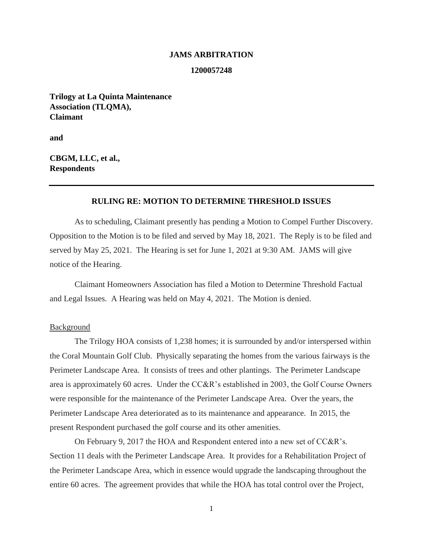#### **JAMS ARBITRATION**

#### **1200057248**

**Trilogy at La Quinta Maintenance Association (TLQMA), Claimant**

**and**

**CBGM, LLC, et al., Respondents**

# **RULING RE: MOTION TO DETERMINE THRESHOLD ISSUES**

As to scheduling, Claimant presently has pending a Motion to Compel Further Discovery. Opposition to the Motion is to be filed and served by May 18, 2021. The Reply is to be filed and served by May 25, 2021. The Hearing is set for June 1, 2021 at 9:30 AM. JAMS will give notice of the Hearing.

Claimant Homeowners Association has filed a Motion to Determine Threshold Factual and Legal Issues. A Hearing was held on May 4, 2021. The Motion is denied.

## Background

The Trilogy HOA consists of 1,238 homes; it is surrounded by and/or interspersed within the Coral Mountain Golf Club. Physically separating the homes from the various fairways is the Perimeter Landscape Area. It consists of trees and other plantings. The Perimeter Landscape area is approximately 60 acres. Under the CC&R's established in 2003, the Golf Course Owners were responsible for the maintenance of the Perimeter Landscape Area. Over the years, the Perimeter Landscape Area deteriorated as to its maintenance and appearance. In 2015, the present Respondent purchased the golf course and its other amenities.

On February 9, 2017 the HOA and Respondent entered into a new set of CC&R's. Section 11 deals with the Perimeter Landscape Area. It provides for a Rehabilitation Project of the Perimeter Landscape Area, which in essence would upgrade the landscaping throughout the entire 60 acres. The agreement provides that while the HOA has total control over the Project,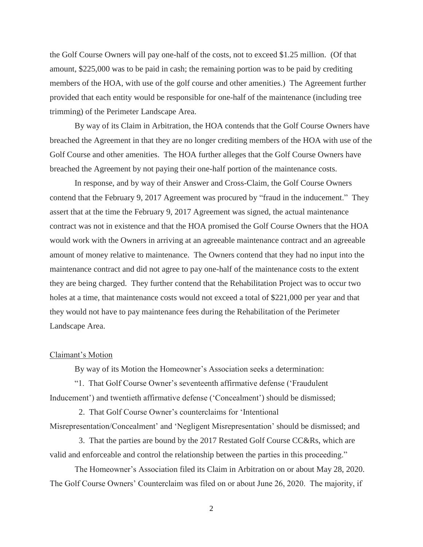the Golf Course Owners will pay one-half of the costs, not to exceed \$1.25 million. (Of that amount, \$225,000 was to be paid in cash; the remaining portion was to be paid by crediting members of the HOA, with use of the golf course and other amenities.) The Agreement further provided that each entity would be responsible for one-half of the maintenance (including tree trimming) of the Perimeter Landscape Area.

By way of its Claim in Arbitration, the HOA contends that the Golf Course Owners have breached the Agreement in that they are no longer crediting members of the HOA with use of the Golf Course and other amenities. The HOA further alleges that the Golf Course Owners have breached the Agreement by not paying their one-half portion of the maintenance costs.

In response, and by way of their Answer and Cross-Claim, the Golf Course Owners contend that the February 9, 2017 Agreement was procured by "fraud in the inducement." They assert that at the time the February 9, 2017 Agreement was signed, the actual maintenance contract was not in existence and that the HOA promised the Golf Course Owners that the HOA would work with the Owners in arriving at an agreeable maintenance contract and an agreeable amount of money relative to maintenance. The Owners contend that they had no input into the maintenance contract and did not agree to pay one-half of the maintenance costs to the extent they are being charged. They further contend that the Rehabilitation Project was to occur two holes at a time, that maintenance costs would not exceed a total of \$221,000 per year and that they would not have to pay maintenance fees during the Rehabilitation of the Perimeter Landscape Area.

### Claimant's Motion

By way of its Motion the Homeowner's Association seeks a determination:

"1. That Golf Course Owner's seventeenth affirmative defense ('Fraudulent Inducement') and twentieth affirmative defense ('Concealment') should be dismissed;

 2. That Golf Course Owner's counterclaims for 'Intentional Misrepresentation/Concealment' and 'Negligent Misrepresentation' should be dismissed; and

 3. That the parties are bound by the 2017 Restated Golf Course CC&Rs, which are valid and enforceable and control the relationship between the parties in this proceeding."

The Homeowner's Association filed its Claim in Arbitration on or about May 28, 2020. The Golf Course Owners' Counterclaim was filed on or about June 26, 2020. The majority, if

2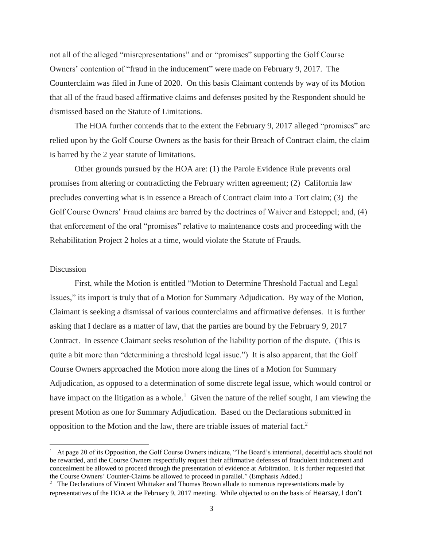not all of the alleged "misrepresentations" and or "promises" supporting the Golf Course Owners' contention of "fraud in the inducement" were made on February 9, 2017. The Counterclaim was filed in June of 2020. On this basis Claimant contends by way of its Motion that all of the fraud based affirmative claims and defenses posited by the Respondent should be dismissed based on the Statute of Limitations.

The HOA further contends that to the extent the February 9, 2017 alleged "promises" are relied upon by the Golf Course Owners as the basis for their Breach of Contract claim, the claim is barred by the 2 year statute of limitations.

Other grounds pursued by the HOA are: (1) the Parole Evidence Rule prevents oral promises from altering or contradicting the February written agreement; (2) California law precludes converting what is in essence a Breach of Contract claim into a Tort claim; (3) the Golf Course Owners' Fraud claims are barred by the doctrines of Waiver and Estoppel; and, (4) that enforcement of the oral "promises" relative to maintenance costs and proceeding with the Rehabilitation Project 2 holes at a time, would violate the Statute of Frauds.

## Discussion

 $\overline{\phantom{a}}$ 

First, while the Motion is entitled "Motion to Determine Threshold Factual and Legal Issues," its import is truly that of a Motion for Summary Adjudication. By way of the Motion, Claimant is seeking a dismissal of various counterclaims and affirmative defenses. It is further asking that I declare as a matter of law, that the parties are bound by the February 9, 2017 Contract. In essence Claimant seeks resolution of the liability portion of the dispute. (This is quite a bit more than "determining a threshold legal issue.") It is also apparent, that the Golf Course Owners approached the Motion more along the lines of a Motion for Summary Adjudication, as opposed to a determination of some discrete legal issue, which would control or have impact on the litigation as a whole.<sup>1</sup> Given the nature of the relief sought, I am viewing the present Motion as one for Summary Adjudication. Based on the Declarations submitted in opposition to the Motion and the law, there are triable issues of material fact.<sup>2</sup>

<sup>1</sup> At page 20 of its Opposition, the Golf Course Owners indicate, "The Board's intentional, deceitful acts should not be rewarded, and the Course Owners respectfully request their affirmative defenses of fraudulent inducement and concealment be allowed to proceed through the presentation of evidence at Arbitration. It is further requested that the Course Owners' Counter-Claims be allowed to proceed in parallel." (Emphasis Added.)

<sup>&</sup>lt;sup>2</sup> The Declarations of Vincent Whittaker and Thomas Brown allude to numerous representations made by representatives of the HOA at the February 9, 2017 meeting. While objected to on the basis of Hearsay, I don't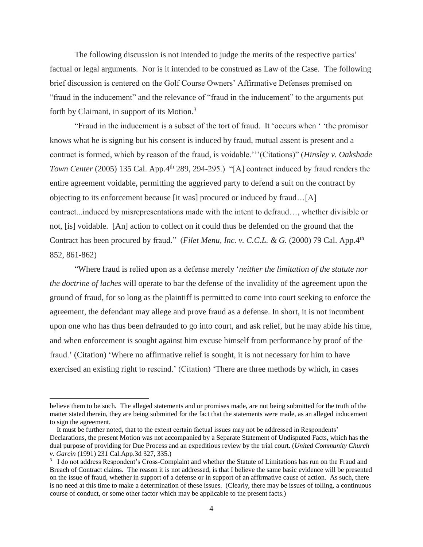The following discussion is not intended to judge the merits of the respective parties' factual or legal arguments. Nor is it intended to be construed as Law of the Case. The following brief discussion is centered on the Golf Course Owners' Affirmative Defenses premised on "fraud in the inducement" and the relevance of "fraud in the inducement" to the arguments put forth by Claimant, in support of its Motion.<sup>3</sup>

"Fraud in the inducement is a subset of the tort of fraud. It 'occurs when ' 'the promisor knows what he is signing but his consent is induced by fraud, mutual assent is present and a contract is formed, which by reason of the fraud, is voidable.'''(Citations)" (*Hinsley v. Oakshade Town Center* (2005) 135 Cal. App.4<sup>th</sup> 289, 294-295.) "[A] contract induced by fraud renders the entire agreement voidable, permitting the aggrieved party to defend a suit on the contract by objecting to its enforcement because [it was] procured or induced by fraud…[A] contract...induced by misrepresentations made with the intent to defraud…, whether divisible or not, [is] voidable. [An] action to collect on it could thus be defended on the ground that the Contract has been procured by fraud." (*Filet Menu, Inc. v. C.C.L. & G.* (2000) 79 Cal. App.4<sup>th</sup> 852, 861-862)

"Where fraud is relied upon as a defense merely '*neither the limitation of the statute nor the doctrine of laches* will operate to bar the defense of the invalidity of the agreement upon the ground of fraud, for so long as the plaintiff is permitted to come into court seeking to enforce the agreement, the defendant may allege and prove fraud as a defense. In short, it is not incumbent upon one who has thus been defrauded to go into court, and ask relief, but he may abide his time, and when enforcement is sought against him excuse himself from performance by proof of the fraud.' (Citation) 'Where no affirmative relief is sought, it is not necessary for him to have exercised an existing right to rescind.' (Citation) 'There are three methods by which, in cases

 $\overline{\phantom{a}}$ 

believe them to be such. The alleged statements and or promises made, are not being submitted for the truth of the matter stated therein, they are being submitted for the fact that the statements were made, as an alleged inducement to sign the agreement.

It must be further noted, that to the extent certain factual issues may not be addressed in Respondents' Declarations, the present Motion was not accompanied by a Separate Statement of Undisputed Facts, which has the dual purpose of providing for Due Process and an expeditious review by the trial court. (*United Community Church v. Garcin* (1991) 231 Cal.App.3d 327, 335.)

<sup>&</sup>lt;sup>3</sup> I do not address Respondent's Cross-Complaint and whether the Statute of Limitations has run on the Fraud and Breach of Contract claims. The reason it is not addressed, is that I believe the same basic evidence will be presented on the issue of fraud, whether in support of a defense or in support of an affirmative cause of action. As such, there is no need at this time to make a determination of these issues. (Clearly, there may be issues of tolling, a continuous course of conduct, or some other factor which may be applicable to the present facts.)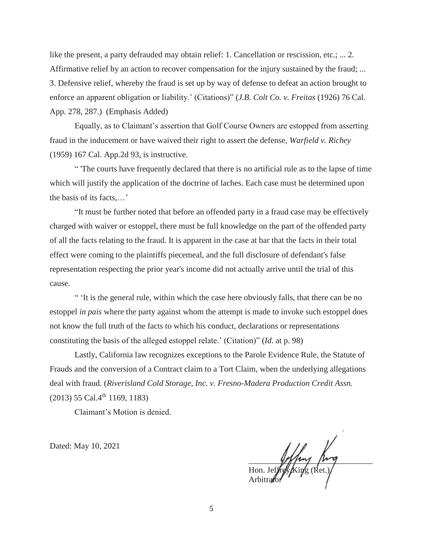like the present, a party defrauded may obtain relief: 1. Cancellation or rescission, etc.; ... 2. Affirmative relief by an action to recover compensation for the injury sustained by the fraud; ... 3. Defensive relief, whereby the fraud is set up by way of defense to defeat an action brought to enforce an apparent obligation or liability.' (Citations)" (*J.B. Colt Co. v. Freitas* (1926) 76 Cal. App. 278, 287.) (Emphasis Added)

Equally, as to Claimant's assertion that Golf Course Owners are estopped from asserting fraud in the inducement or have waived their right to assert the defense, *Warfield v. Richey* (1959) 167 Cal. App.2d 93, is instructive.

" 'The courts have frequently declared that there is no artificial rule as to the lapse of time which will justify the application of the doctrine of laches. Each case must be determined upon the basis of its facts,…'

"It must be further noted that before an offended party in a fraud case may be effectively charged with waiver or estoppel, there must be full knowledge on the part of the offended party of all the facts relating to the fraud. It is apparent in the case at bar that the facts in their total effect were coming to the plaintiffs piecemeal, and the full disclosure of defendant's false representation respecting the prior year's income did not actually arrive until the trial of this cause.

" 'It is the general rule, within which the case here obviously falls, that there can be no estoppel *in pais* where the party against whom the attempt is made to invoke such estoppel does not know the full truth of the facts to which his conduct, declarations or representations constituting the basis of the alleged estoppel relate.' (Citation)" (*Id*. at p. 98)

Lastly, California law recognizes exceptions to the Parole Evidence Rule, the Statute of Frauds and the conversion of a Contract claim to a Tort Claim, when the underlying allegations deal with fraud. (*Riverisland Cold Storage, Inc. v. Fresno-Madera Production Credit Assn.* (2013) 55 Cal.4th 1169, 1183)

Claimant's Motion is denied.

Dated: May 10, 2021

 $P_{\mu\nu}$  and  $P_{\mu\nu}$ Hon. Jeffrey King (Ret.) Arbitrator